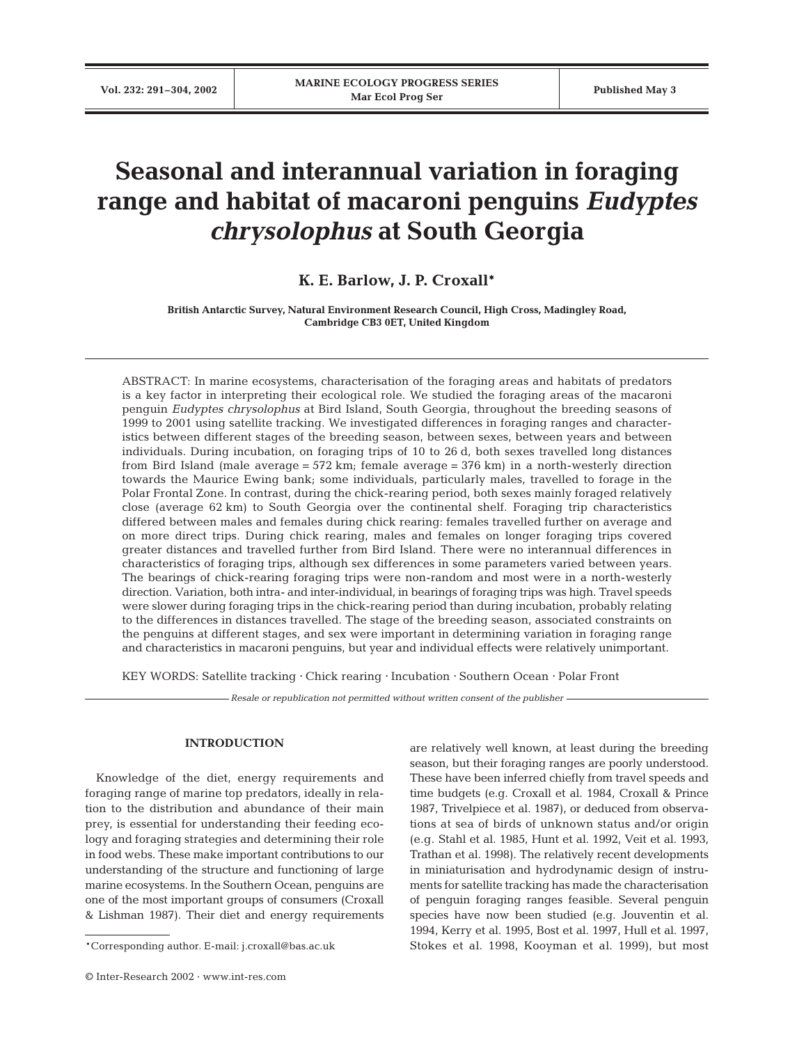# **Seasonal and interannual variation in foraging range and habitat of macaroni penguins** *Eudyptes chrysolophus* **at South Georgia**

# **K. E. Barlow, J. P. Croxall\***

**British Antarctic Survey, Natural Environment Research Council, High Cross, Madingley Road, Cambridge CB3 0ET, United Kingdom**

ABSTRACT: In marine ecosystems, characterisation of the foraging areas and habitats of predators is a key factor in interpreting their ecological role. We studied the foraging areas of the macaroni penguin *Eudyptes chrysolophus* at Bird Island, South Georgia, throughout the breeding seasons of 1999 to 2001 using satellite tracking. We investigated differences in foraging ranges and characteristics between different stages of the breeding season, between sexes, between years and between individuals. During incubation, on foraging trips of 10 to 26 d, both sexes travelled long distances from Bird Island (male average =  $572 \text{ km}$ ; female average =  $376 \text{ km}$ ) in a north-westerly direction towards the Maurice Ewing bank; some individuals, particularly males, travelled to forage in the Polar Frontal Zone. In contrast, during the chick-rearing period, both sexes mainly foraged relatively close (average 62 km) to South Georgia over the continental shelf. Foraging trip characteristics differed between males and females during chick rearing: females travelled further on average and on more direct trips. During chick rearing, males and females on longer foraging trips covered greater distances and travelled further from Bird Island. There were no interannual differences in characteristics of foraging trips, although sex differences in some parameters varied between years. The bearings of chick-rearing foraging trips were non-random and most were in a north-westerly direction. Variation, both intra- and inter-individual, in bearings of foraging trips was high. Travel speeds were slower during foraging trips in the chick-rearing period than during incubation, probably relating to the differences in distances travelled. The stage of the breeding season, associated constraints on the penguins at different stages, and sex were important in determining variation in foraging range and characteristics in macaroni penguins, but year and individual effects were relatively unimportant.

KEY WORDS: Satellite tracking ⋅ Chick rearing ⋅ Incubation ⋅ Southern Ocean ⋅ Polar Front

*Resale or republication not permitted without written consent of the publisher*

# **INTRODUCTION**

Knowledge of the diet, energy requirements and foraging range of marine top predators, ideally in relation to the distribution and abundance of their main prey, is essential for understanding their feeding ecology and foraging strategies and determining their role in food webs. These make important contributions to our understanding of the structure and functioning of large marine ecosystems. In the Southern Ocean, penguins are one of the most important groups of consumers (Croxall & Lishman 1987). Their diet and energy requirements

are relatively well known, at least during the breeding season, but their foraging ranges are poorly understood. These have been inferred chiefly from travel speeds and time budgets (e.g. Croxall et al. 1984, Croxall & Prince 1987, Trivelpiece et al. 1987), or deduced from observations at sea of birds of unknown status and/or origin (e.g. Stahl et al. 1985, Hunt et al. 1992, Veit et al. 1993, Trathan et al. 1998). The relatively recent developments in miniaturisation and hydrodynamic design of instruments for satellite tracking has made the characterisation of penguin foraging ranges feasible. Several penguin species have now been studied (e.g. Jouventin et al. 1994, Kerry et al. 1995, Bost et al. 1997, Hull et al. 1997, Stokes et al. 1998, Kooyman et al. 1999), but most

<sup>\*</sup>Corresponding author. E-mail: j.croxall@bas.ac.uk

<sup>©</sup> Inter-Research 2002 · www.int-res.com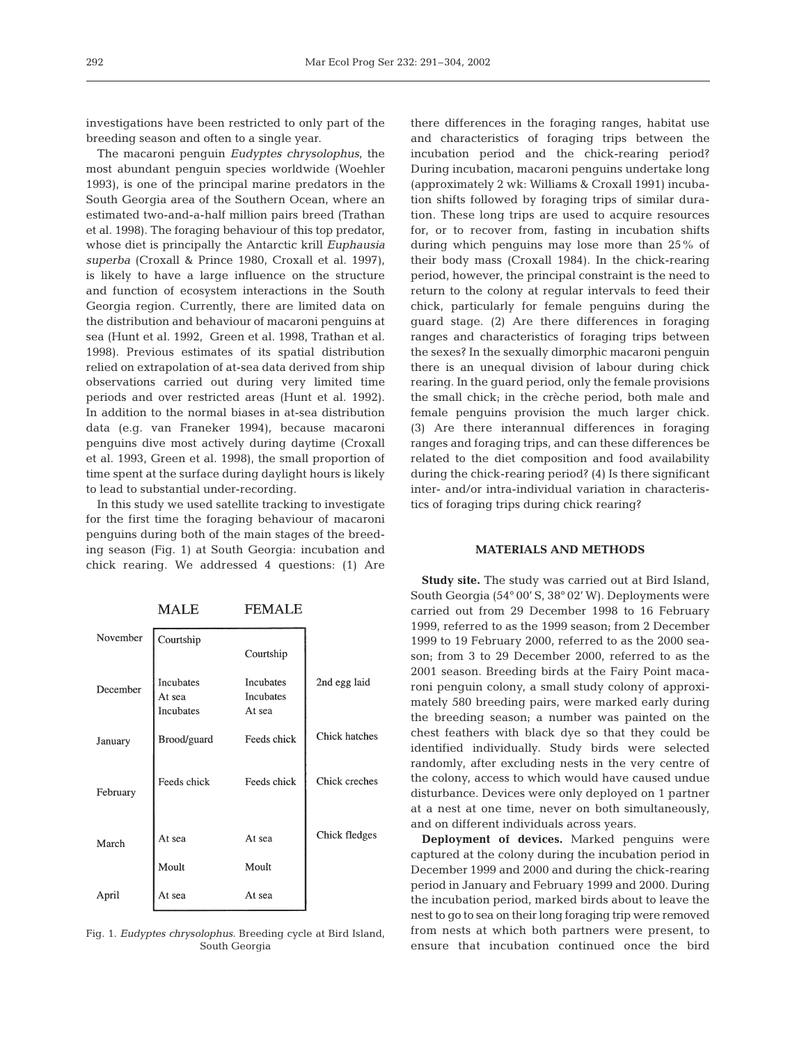investigations have been restricted to only part of the breeding season and often to a single year.

The macaroni penguin *Eudyptes chrysolophus*, the most abundant penguin species worldwide (Woehler 1993), is one of the principal marine predators in the South Georgia area of the Southern Ocean, where an estimated two-and-a-half million pairs breed (Trathan et al. 1998). The foraging behaviour of this top predator, whose diet is principally the Antarctic krill *Euphausia superba* (Croxall & Prince 1980, Croxall et al. 1997), is likely to have a large influence on the structure and function of ecosystem interactions in the South Georgia region. Currently, there are limited data on the distribution and behaviour of macaroni penguins at sea (Hunt et al. 1992, Green et al. 1998, Trathan et al. 1998). Previous estimates of its spatial distribution relied on extrapolation of at-sea data derived from ship observations carried out during very limited time periods and over restricted areas (Hunt et al. 1992). In addition to the normal biases in at-sea distribution data (e.g. van Franeker 1994), because macaroni penguins dive most actively during daytime (Croxall et al. 1993, Green et al. 1998), the small proportion of time spent at the surface during daylight hours is likely to lead to substantial under-recording.

In this study we used satellite tracking to investigate for the first time the foraging behaviour of macaroni penguins during both of the main stages of the breeding season (Fig. 1) at South Georgia: incubation and chick rearing. We addressed 4 questions: (1) Are

**FEMALE MALE** 

| November | Courtship                        |                                         |               |
|----------|----------------------------------|-----------------------------------------|---------------|
|          |                                  | Courtship                               |               |
| December | Incubates<br>At sea<br>Incubates | <b>Incubates</b><br>Incubates<br>At sea | 2nd egg laid  |
| January  | Brood/guard                      | Feeds chick                             | Chick hatches |
| February | Feeds chick                      | Feeds chick                             | Chick creches |
| March    | At sea                           | At sea                                  | Chick fledges |
|          | Moult                            | Moult                                   |               |
| April    | At sea                           | At sea                                  |               |

Fig. 1. *Eudyptes chrysolophus.* Breeding cycle at Bird Island, South Georgia

there differences in the foraging ranges, habitat use and characteristics of foraging trips between the incubation period and the chick-rearing period? During incubation, macaroni penguins undertake long (approximately 2 wk: Williams & Croxall 1991) incubation shifts followed by foraging trips of similar duration. These long trips are used to acquire resources for, or to recover from, fasting in incubation shifts during which penguins may lose more than 25% of their body mass (Croxall 1984). In the chick-rearing period, however, the principal constraint is the need to return to the colony at regular intervals to feed their chick, particularly for female penguins during the guard stage. (2) Are there differences in foraging ranges and characteristics of foraging trips between the sexes? In the sexually dimorphic macaroni penguin there is an unequal division of labour during chick rearing. In the guard period, only the female provisions the small chick; in the crèche period, both male and female penguins provision the much larger chick. (3) Are there interannual differences in foraging ranges and foraging trips, and can these differences be related to the diet composition and food availability during the chick-rearing period? (4) Is there significant inter- and/or intra-individual variation in characteristics of foraging trips during chick rearing?

# **MATERIALS AND METHODS**

**Study site.** The study was carried out at Bird Island, South Georgia (54° 00' S, 38° 02' W). Deployments were carried out from 29 December 1998 to 16 February 1999, referred to as the 1999 season; from 2 December 1999 to 19 February 2000, referred to as the 2000 season; from 3 to 29 December 2000, referred to as the 2001 season. Breeding birds at the Fairy Point macaroni penguin colony, a small study colony of approximately 580 breeding pairs, were marked early during the breeding season; a number was painted on the chest feathers with black dye so that they could be identified individually. Study birds were selected randomly, after excluding nests in the very centre of the colony, access to which would have caused undue disturbance. Devices were only deployed on 1 partner at a nest at one time, never on both simultaneously, and on different individuals across years.

**Deployment of devices.** Marked penguins were captured at the colony during the incubation period in December 1999 and 2000 and during the chick-rearing period in January and February 1999 and 2000. During the incubation period, marked birds about to leave the nest to go to sea on their long foraging trip were removed from nests at which both partners were present, to ensure that incubation continued once the bird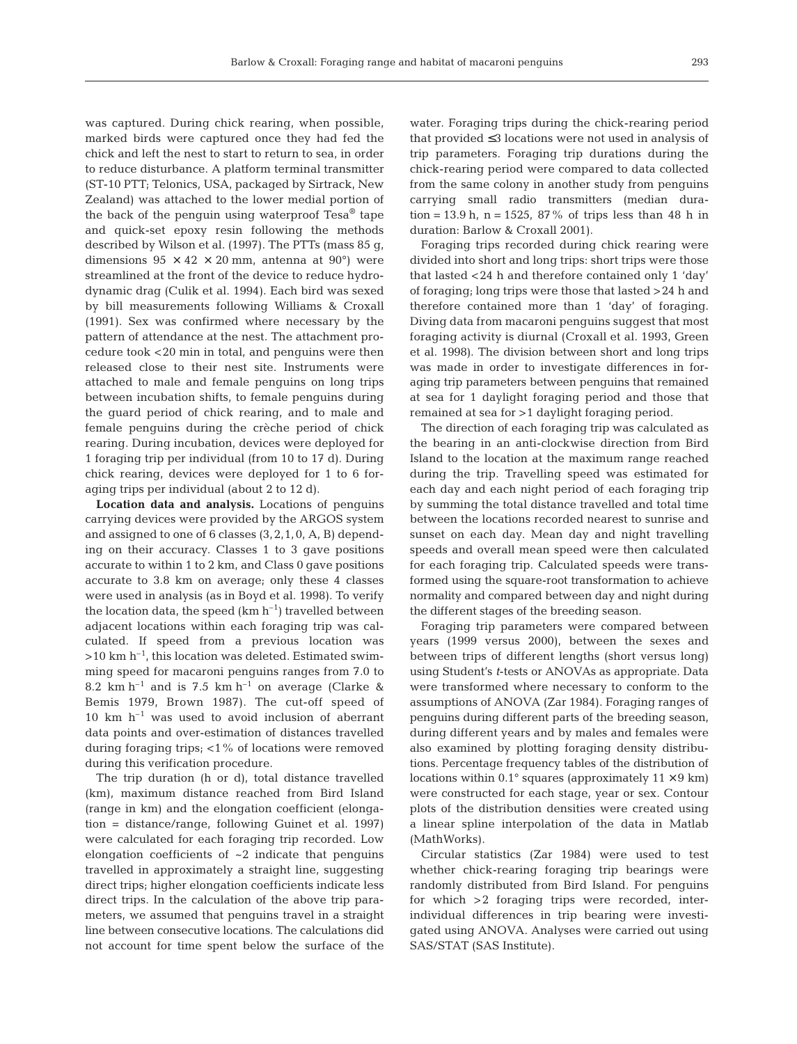was captured. During chick rearing, when possible, marked birds were captured once they had fed the chick and left the nest to start to return to sea, in order to reduce disturbance. A platform terminal transmitter (ST-10 PTT; Telonics, USA, packaged by Sirtrack, New Zealand) was attached to the lower medial portion of the back of the penguin using waterproof  $Ts^{\otimes}$  tape and quick-set epoxy resin following the methods described by Wilson et al. (1997). The PTTs (mass 85 g, dimensions  $95 \times 42 \times 20$  mm, antenna at  $90^{\circ}$  were streamlined at the front of the device to reduce hydrodynamic drag (Culik et al. 1994). Each bird was sexed by bill measurements following Williams & Croxall (1991). Sex was confirmed where necessary by the pattern of attendance at the nest. The attachment procedure took <20 min in total, and penguins were then released close to their nest site. Instruments were attached to male and female penguins on long trips between incubation shifts, to female penguins during the guard period of chick rearing, and to male and female penguins during the crèche period of chick rearing. During incubation, devices were deployed for 1 foraging trip per individual (from 10 to 17 d). During chick rearing, devices were deployed for 1 to 6 foraging trips per individual (about 2 to 12 d).

**Location data and analysis.** Locations of penguins carrying devices were provided by the ARGOS system and assigned to one of 6 classes (3,2,1,0, A, B) depending on their accuracy. Classes 1 to 3 gave positions accurate to within 1 to 2 km, and Class 0 gave positions accurate to 3.8 km on average; only these 4 classes were used in analysis (as in Boyd et al. 1998). To verify the location data, the speed  $(km h^{-1})$  travelled between adjacent locations within each foraging trip was calculated. If speed from a previous location was  $>10$  km h<sup>-1</sup>, this location was deleted. Estimated swimming speed for macaroni penguins ranges from 7.0 to 8.2 km h<sup>-1</sup> and is 7.5 km h<sup>-1</sup> on average (Clarke & Bemis 1979, Brown 1987). The cut-off speed of  $10 \text{ km } \text{h}^{-1}$  was used to avoid inclusion of aberrant data points and over-estimation of distances travelled during foraging trips; <1% of locations were removed during this verification procedure.

The trip duration (h or d), total distance travelled (km), maximum distance reached from Bird Island (range in km) and the elongation coefficient (elongation = distance/range, following Guinet et al. 1997) were calculated for each foraging trip recorded. Low elongation coefficients of  $\sim$ 2 indicate that penguins travelled in approximately a straight line, suggesting direct trips; higher elongation coefficients indicate less direct trips. In the calculation of the above trip parameters, we assumed that penguins travel in a straight line between consecutive locations. The calculations did not account for time spent below the surface of the

water. Foraging trips during the chick-rearing period that provided ≤3 locations were not used in analysis of trip parameters. Foraging trip durations during the chick-rearing period were compared to data collected from the same colony in another study from penguins carrying small radio transmitters (median duration = 13.9 h, n = 1525,  $87\%$  of trips less than 48 h in duration: Barlow & Croxall 2001).

Foraging trips recorded during chick rearing were divided into short and long trips: short trips were those that lasted <24 h and therefore contained only 1 'day' of foraging; long trips were those that lasted >24 h and therefore contained more than 1 'day' of foraging. Diving data from macaroni penguins suggest that most foraging activity is diurnal (Croxall et al. 1993, Green et al. 1998). The division between short and long trips was made in order to investigate differences in foraging trip parameters between penguins that remained at sea for 1 daylight foraging period and those that remained at sea for >1 daylight foraging period.

The direction of each foraging trip was calculated as the bearing in an anti-clockwise direction from Bird Island to the location at the maximum range reached during the trip. Travelling speed was estimated for each day and each night period of each foraging trip by summing the total distance travelled and total time between the locations recorded nearest to sunrise and sunset on each day. Mean day and night travelling speeds and overall mean speed were then calculated for each foraging trip. Calculated speeds were transformed using the square-root transformation to achieve normality and compared between day and night during the different stages of the breeding season.

Foraging trip parameters were compared between years (1999 versus 2000), between the sexes and between trips of different lengths (short versus long) using Student's *t*-tests or ANOVAs as appropriate. Data were transformed where necessary to conform to the assumptions of ANOVA (Zar 1984). Foraging ranges of penguins during different parts of the breeding season, during different years and by males and females were also examined by plotting foraging density distributions. Percentage frequency tables of the distribution of locations within  $0.1^\circ$  squares (approximately  $11 \times 9$  km) were constructed for each stage, year or sex. Contour plots of the distribution densities were created using a linear spline interpolation of the data in Matlab (MathWorks).

Circular statistics (Zar 1984) were used to test whether chick-rearing foraging trip bearings were randomly distributed from Bird Island. For penguins for which >2 foraging trips were recorded, interindividual differences in trip bearing were investigated using ANOVA. Analyses were carried out using SAS/STAT (SAS Institute).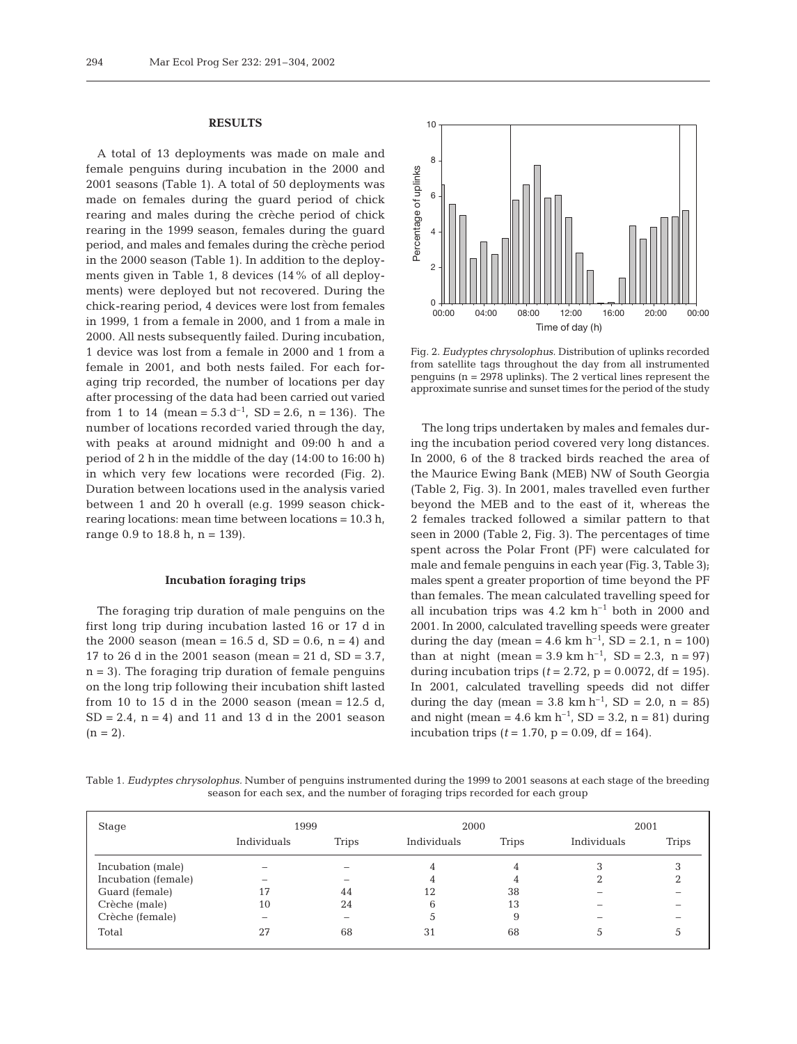#### **RESULTS**

A total of 13 deployments was made on male and female penguins during incubation in the 2000 and 2001 seasons (Table 1). A total of 50 deployments was made on females during the guard period of chick rearing and males during the crèche period of chick rearing in the 1999 season, females during the guard period, and males and females during the crèche period in the 2000 season (Table 1). In addition to the deployments given in Table 1, 8 devices (14% of all deployments) were deployed but not recovered. During the chick-rearing period, 4 devices were lost from females in 1999, 1 from a female in 2000, and 1 from a male in 2000. All nests subsequently failed. During incubation, 1 device was lost from a female in 2000 and 1 from a female in 2001, and both nests failed. For each foraging trip recorded, the number of locations per day after processing of the data had been carried out varied from 1 to 14 (mean =  $5.3 d^{-1}$ , SD =  $2.6$ , n =  $136$ ). The number of locations recorded varied through the day, with peaks at around midnight and 09:00 h and a period of 2 h in the middle of the day (14:00 to 16:00 h) in which very few locations were recorded (Fig. 2). Duration between locations used in the analysis varied between 1 and 20 h overall (e.g. 1999 season chickrearing locations: mean time between locations = 10.3 h, range 0.9 to 18.8 h,  $n = 139$ .

## **Incubation foraging trips**

The foraging trip duration of male penguins on the first long trip during incubation lasted 16 or 17 d in the 2000 season (mean = 16.5 d, SD = 0.6, n = 4) and 17 to 26 d in the 2001 season (mean = 21 d,  $SD = 3.7$ ,  $n = 3$ ). The foraging trip duration of female penguins on the long trip following their incubation shift lasted from 10 to 15 d in the 2000 season (mean =  $12.5$  d,  $SD = 2.4$ ,  $n = 4$ ) and 11 and 13 d in the 2001 season  $(n = 2)$ .



Fig. 2. *Eudyptes chrysolophus.* Distribution of uplinks recorded from satellite tags throughout the day from all instrumented penguins (n = 2978 uplinks). The 2 vertical lines represent the approximate sunrise and sunset times for the period of the study

The long trips undertaken by males and females during the incubation period covered very long distances. In 2000, 6 of the 8 tracked birds reached the area of the Maurice Ewing Bank (MEB) NW of South Georgia (Table 2, Fig. 3). In 2001, males travelled even further beyond the MEB and to the east of it, whereas the 2 females tracked followed a similar pattern to that seen in 2000 (Table 2, Fig. 3). The percentages of time spent across the Polar Front (PF) were calculated for male and female penguins in each year (Fig. 3, Table 3); males spent a greater proportion of time beyond the PF than females. The mean calculated travelling speed for all incubation trips was  $4.2 \text{ km h}^{-1}$  both in 2000 and 2001. In 2000, calculated travelling speeds were greater during the day (mean = 4.6 km h<sup>-1</sup>, SD = 2.1, n = 100) than at night (mean =  $3.9 \text{ km h}^{-1}$ , SD =  $2.3$ , n =  $97$ ) during incubation trips  $(t = 2.72, p = 0.0072, df = 195)$ . In 2001, calculated travelling speeds did not differ during the day (mean = 3.8 km h<sup>-1</sup>, SD = 2.0, n = 85) and night (mean = 4.6 km h<sup>-1</sup>, SD = 3.2, n = 81) during incubation trips ( $t = 1.70$ ,  $p = 0.09$ , df = 164).

Table 1. *Eudyptes chrysolophus.* Number of penguins instrumented during the 1999 to 2001 seasons at each stage of the breeding season for each sex, and the number of foraging trips recorded for each group

| Stage               | 1999        |              | 2000        |              | 2001        |              |
|---------------------|-------------|--------------|-------------|--------------|-------------|--------------|
|                     | Individuals | <b>Trips</b> | Individuals | <b>Trips</b> | Individuals | <b>Trips</b> |
| Incubation (male)   | -           |              | 4           |              |             |              |
| Incubation (female) | -           |              | 4           |              |             |              |
| Guard (female)      | 17          | 44           |             | 38           |             |              |
| Crèche (male)       | 10          | 24           | b           | 13           |             |              |
| Crèche (female)     | -           |              |             | 9            |             |              |
| Total               | 27          | 68           | 31          | 68           |             |              |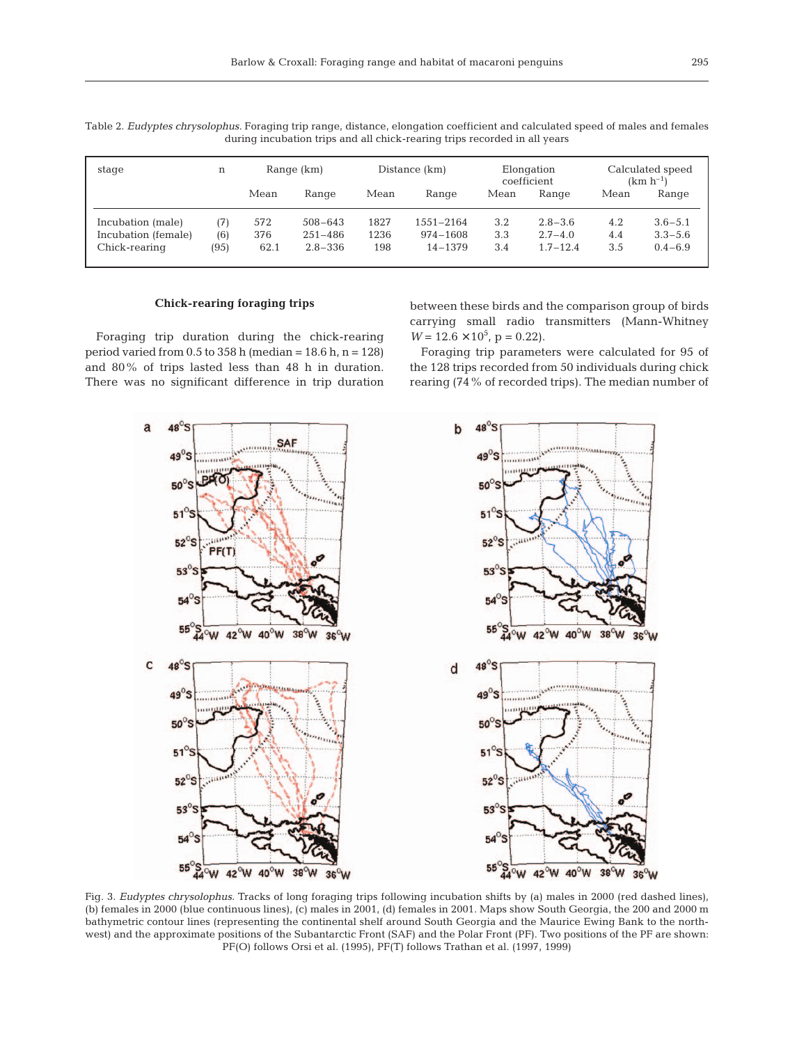| stage                                    | n           | Distance (km)<br>Range (km) |                            |              | Elongation<br>coefficient |            | Calculated speed<br>$(km h^{-1})$ |            |                            |
|------------------------------------------|-------------|-----------------------------|----------------------------|--------------|---------------------------|------------|-----------------------------------|------------|----------------------------|
|                                          |             | Mean                        | Range                      | Mean         | Range                     | Mean       | Range                             | Mean       | Range                      |
| Incubation (male)<br>Incubation (female) | (7)         | 572<br>376                  | $508 - 643$<br>$251 - 486$ | 1827<br>1236 | $1551 - 2164$<br>974-1608 | 3.2<br>3.3 | $2.8 - 3.6$<br>$2.7 - 4.0$        | 4.2<br>4.4 | $3.6 - 5.1$<br>$3.3 - 5.6$ |
| Chick-rearing                            | (6)<br>(95) | 62.1                        | $2.8 - 336$                | 198          | $14 - 1379$               | 3.4        | $1.7 - 12.4$                      | 3.5        | $0.4 - 6.9$                |

Table 2. *Eudyptes chrysolophus.* Foraging trip range, distance, elongation coefficient and calculated speed of males and females during incubation trips and all chick-rearing trips recorded in all years

## **Chick-rearing foraging trips**

Foraging trip duration during the chick-rearing period varied from  $0.5$  to  $358$  h (median =  $18.6$  h, n =  $128$ ) and 80% of trips lasted less than 48 h in duration. There was no significant difference in trip duration

between these birds and the comparison group of birds carrying small radio transmitters (Mann-Whitney  $W = 12.6 \times 10^5$ , p = 0.22).

Foraging trip parameters were calculated for 95 of the 128 trips recorded from 50 individuals during chick rearing (74% of recorded trips). The median number of



Fig. 3. *Eudyptes chrysolophus.* Tracks of long foraging trips following incubation shifts by (a) males in 2000 (red dashed lines), (b) females in 2000 (blue continuous lines), (c) males in 2001, (d) females in 2001. Maps show South Georgia, the 200 and 2000 m bathymetric contour lines (representing the continental shelf around South Georgia and the Maurice Ewing Bank to the northwest) and the approximate positions of the Subantarctic Front (SAF) and the Polar Front (PF). Two positions of the PF are shown: PF(O) follows Orsi et al. (1995), PF(T) follows Trathan et al. (1997, 1999)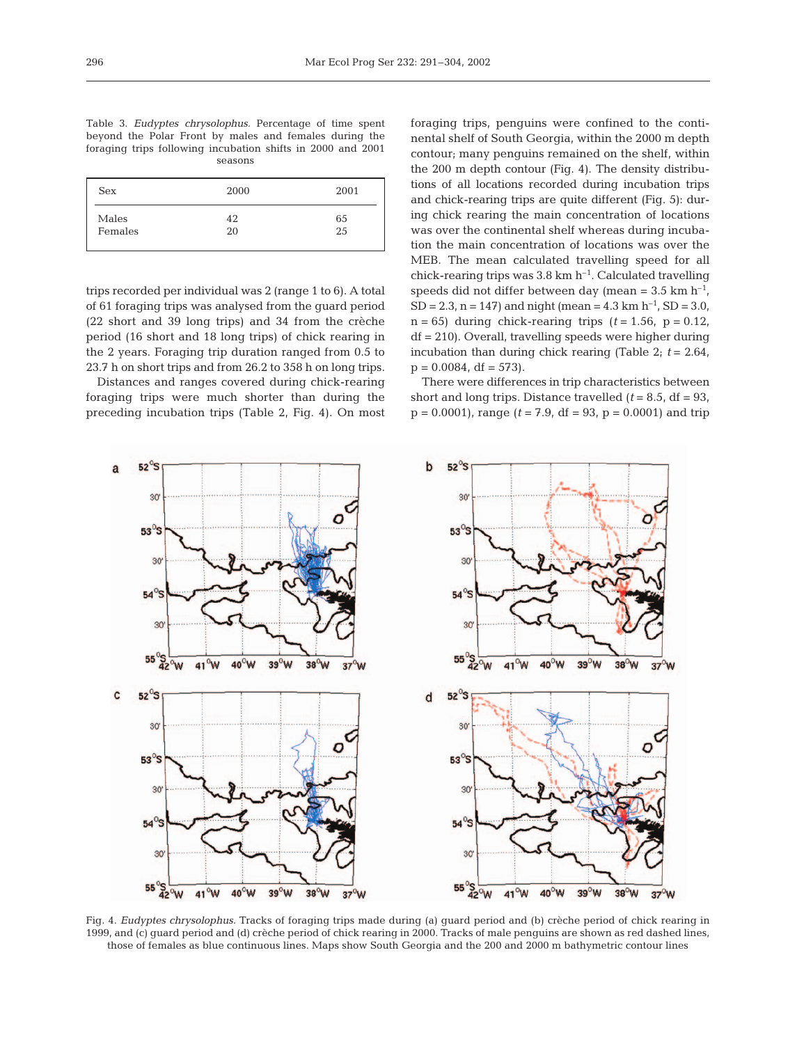| Table 3. <i>Eudyptes chrysolophus</i> . Percentage of time spent |  |  |         |  |  |  |
|------------------------------------------------------------------|--|--|---------|--|--|--|
| beyond the Polar Front by males and females during the           |  |  |         |  |  |  |
| foraging trips following incubation shifts in 2000 and 2001      |  |  |         |  |  |  |
|                                                                  |  |  | seasons |  |  |  |

| Sex     | 2000 | 2001 |
|---------|------|------|
| Males   | 42   | 65   |
| Females | 20   | 25   |

trips recorded per individual was 2 (range 1 to 6). A total of 61 foraging trips was analysed from the guard period (22 short and 39 long trips) and 34 from the crèche period (16 short and 18 long trips) of chick rearing in the 2 years. Foraging trip duration ranged from 0.5 to 23.7 h on short trips and from 26.2 to 358 h on long trips.

Distances and ranges covered during chick-rearing foraging trips were much shorter than during the preceding incubation trips (Table 2, Fig. 4). On most foraging trips, penguins were confined to the continental shelf of South Georgia, within the 2000 m depth contour; many penguins remained on the shelf, within the 200 m depth contour (Fig. 4). The density distributions of all locations recorded during incubation trips and chick-rearing trips are quite different (Fig. 5): during chick rearing the main concentration of locations was over the continental shelf whereas during incubation the main concentration of locations was over the MEB. The mean calculated travelling speed for all chick-rearing trips was  $3.8 \text{ km h}^{-1}$ . Calculated travelling speeds did not differ between day (mean =  $3.5 \text{ km h}^{-1}$ , SD = 2.3, n = 147) and night (mean =  $4.3 \text{ km h}^{-1}$ , SD =  $3.0$ ,  $n = 65$ ) during chick-rearing trips  $(t = 1.56, p = 0.12,$ df = 210). Overall, travelling speeds were higher during incubation than during chick rearing (Table 2; *t* = 2.64,  $p = 0.0084$ , df = 573).

There were differences in trip characteristics between short and long trips. Distance travelled  $(t = 8.5, df = 93,$  $p = 0.0001$ , range ( $t = 7.9$ , df = 93,  $p = 0.0001$ ) and trip



Fig. 4. *Eudyptes chrysolophus.* Tracks of foraging trips made during (a) guard period and (b) crèche period of chick rearing in 1999, and (c) guard period and (d) crèche period of chick rearing in 2000. Tracks of male penguins are shown as red dashed lines, those of females as blue continuous lines. Maps show South Georgia and the 200 and 2000 m bathymetric contour lines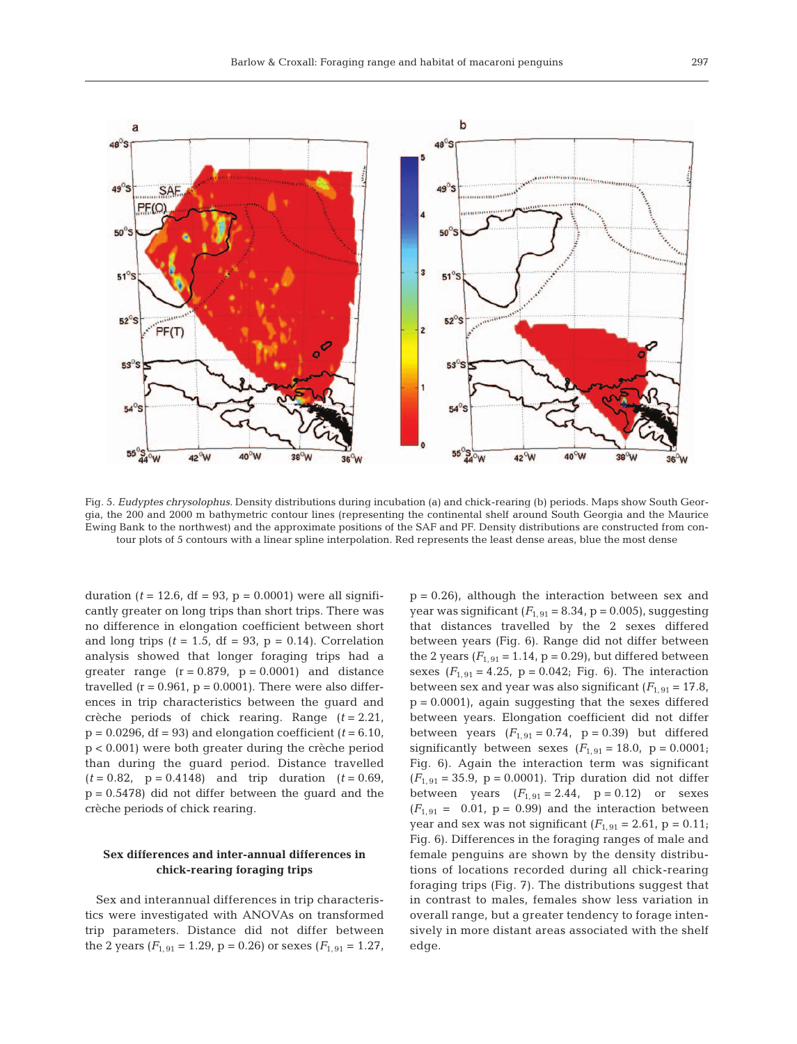

Fig. 5. *Eudyptes chrysolophus.* Density distributions during incubation (a) and chick-rearing (b) periods. Maps show South Georgia, the 200 and 2000 m bathymetric contour lines (representing the continental shelf around South Georgia and the Maurice Ewing Bank to the northwest) and the approximate positions of the SAF and PF. Density distributions are constructed from contour plots of 5 contours with a linear spline interpolation. Red represents the least dense areas, blue the most dense

duration ( $t = 12.6$ , df = 93, p = 0.0001) were all significantly greater on long trips than short trips. There was no difference in elongation coefficient between short and long trips  $(t = 1.5, df = 93, p = 0.14)$ . Correlation analysis showed that longer foraging trips had a greater range  $(r = 0.879, p = 0.0001)$  and distance travelled  $(r = 0.961, p = 0.0001)$ . There were also differences in trip characteristics between the guard and crèche periods of chick rearing. Range (*t* = 2.21,  $p = 0.0296$ , df = 93) and elongation coefficient ( $t = 6.10$ , p < 0.001) were both greater during the crèche period than during the guard period. Distance travelled  $(t = 0.82, p = 0.4148)$  and trip duration  $(t = 0.69,$  $p = 0.5478$ ) did not differ between the guard and the crèche periods of chick rearing.

## **Sex differences and inter-annual differences in chick-rearing foraging trips**

Sex and interannual differences in trip characteristics were investigated with ANOVAs on transformed trip parameters. Distance did not differ between the 2 years  $(F_{1,91} = 1.29, p = 0.26)$  or sexes  $(F_{1,91} = 1.27,$ 

 $p = 0.26$ , although the interaction between sex and year was significant  $(F_{1, 91} = 8.34, p = 0.005)$ , suggesting that distances travelled by the 2 sexes differed between years (Fig. 6). Range did not differ between the 2 years  $(F_{1,91} = 1.14, p = 0.29)$ , but differed between sexes  $(F_{1,91} = 4.25, p = 0.042; Fig. 6)$ . The interaction between sex and year was also significant  $(F_{1, 91} = 17.8$ ,  $p = 0.0001$ , again suggesting that the sexes differed between years. Elongation coefficient did not differ between years  $(F_{1, 91} = 0.74, p = 0.39)$  but differed significantly between sexes  $(F_{1,91} = 18.0, p = 0.0001;$ Fig. 6). Again the interaction term was significant  $(F_{1, 91} = 35.9, p = 0.0001)$ . Trip duration did not differ between years  $(F_{1,91} = 2.44, p = 0.12)$  or sexes  $(F_{1, 91} = 0.01, p = 0.99)$  and the interaction between year and sex was not significant  $(F_{1, 91} = 2.61, p = 0.11;$ Fig. 6). Differences in the foraging ranges of male and female penguins are shown by the density distributions of locations recorded during all chick-rearing foraging trips (Fig. 7). The distributions suggest that in contrast to males, females show less variation in overall range, but a greater tendency to forage intensively in more distant areas associated with the shelf edge.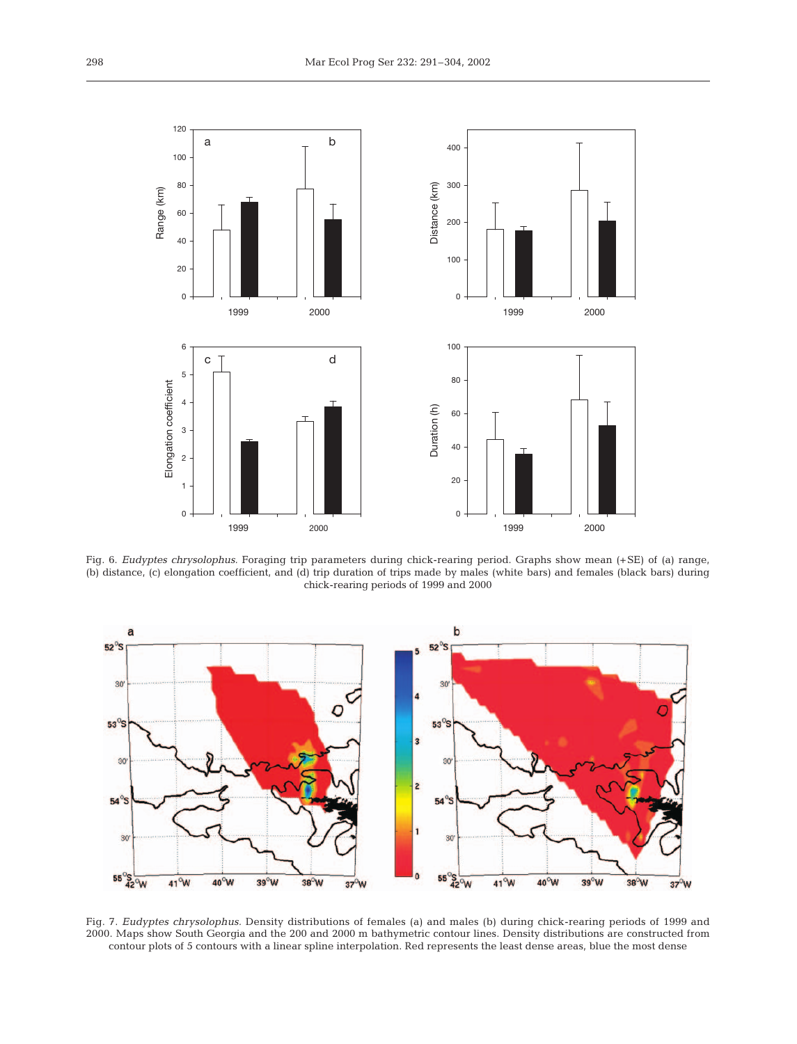

Fig. 6. *Eudyptes chrysolophus.* Foraging trip parameters during chick-rearing period. Graphs show mean (+SE) of (a) range, (b) distance, (c) elongation coefficient, and (d) trip duration of trips made by males (white bars) and females (black bars) during chick-rearing periods of 1999 and 2000



Fig. 7. *Eudyptes chrysolophus.* Density distributions of females (a) and males (b) during chick-rearing periods of 1999 and 2000. Maps show South Georgia and the 200 and 2000 m bathymetric contour lines. Density distributions are constructed from contour plots of 5 contours with a linear spline interpolation. Red represents the least dense areas, blue the most dense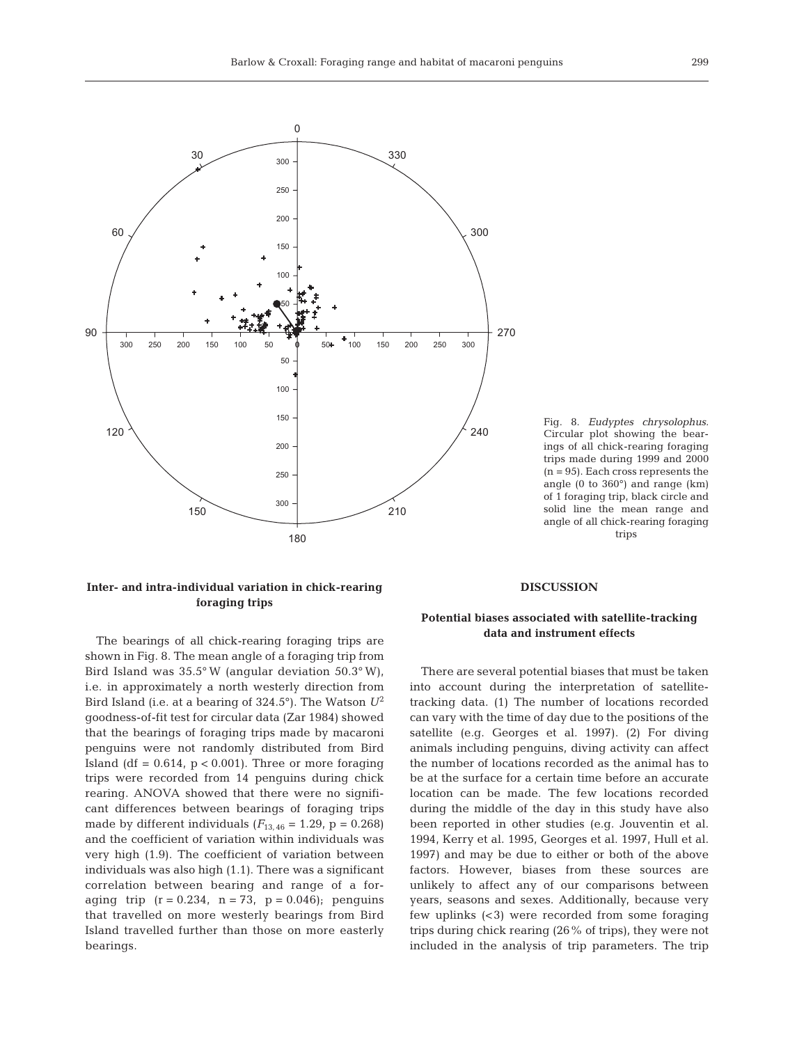

Fig. 8. *Eudyptes chrysolophus.* Circular plot showing the bearings of all chick-rearing foraging trips made during 1999 and 2000  $(n = 95)$ . Each cross represents the angle (0 to 360°) and range (km) of 1 foraging trip, black circle and solid line the mean range and angle of all chick-rearing foraging trips

# **Inter- and intra-individual variation in chick-rearing foraging trips**

The bearings of all chick-rearing foraging trips are shown in Fig. 8. The mean angle of a foraging trip from Bird Island was 35.5° W (angular deviation 50.3° W), i.e. in approximately a north westerly direction from Bird Island (i.e. at a bearing of 324.5°). The Watson *U*<sup>2</sup> goodness-of-fit test for circular data (Zar 1984) showed that the bearings of foraging trips made by macaroni penguins were not randomly distributed from Bird Island (df =  $0.614$ ,  $p < 0.001$ ). Three or more foraging trips were recorded from 14 penguins during chick rearing. ANOVA showed that there were no significant differences between bearings of foraging trips made by different individuals  $(F_{13, 46} = 1.29, p = 0.268)$ and the coefficient of variation within individuals was very high (1.9). The coefficient of variation between individuals was also high (1.1). There was a significant correlation between bearing and range of a foraging trip  $(r = 0.234, n = 73, p = 0.046)$ ; penguins that travelled on more westerly bearings from Bird Island travelled further than those on more easterly bearings.

#### **DISCUSSION**

# **Potential biases associated with satellite-tracking data and instrument effects**

There are several potential biases that must be taken into account during the interpretation of satellitetracking data. (1) The number of locations recorded can vary with the time of day due to the positions of the satellite (e.g. Georges et al. 1997). (2) For diving animals including penguins, diving activity can affect the number of locations recorded as the animal has to be at the surface for a certain time before an accurate location can be made. The few locations recorded during the middle of the day in this study have also been reported in other studies (e.g. Jouventin et al. 1994, Kerry et al. 1995, Georges et al. 1997, Hull et al. 1997) and may be due to either or both of the above factors. However, biases from these sources are unlikely to affect any of our comparisons between years, seasons and sexes. Additionally, because very few uplinks (<3) were recorded from some foraging trips during chick rearing (26% of trips), they were not included in the analysis of trip parameters. The trip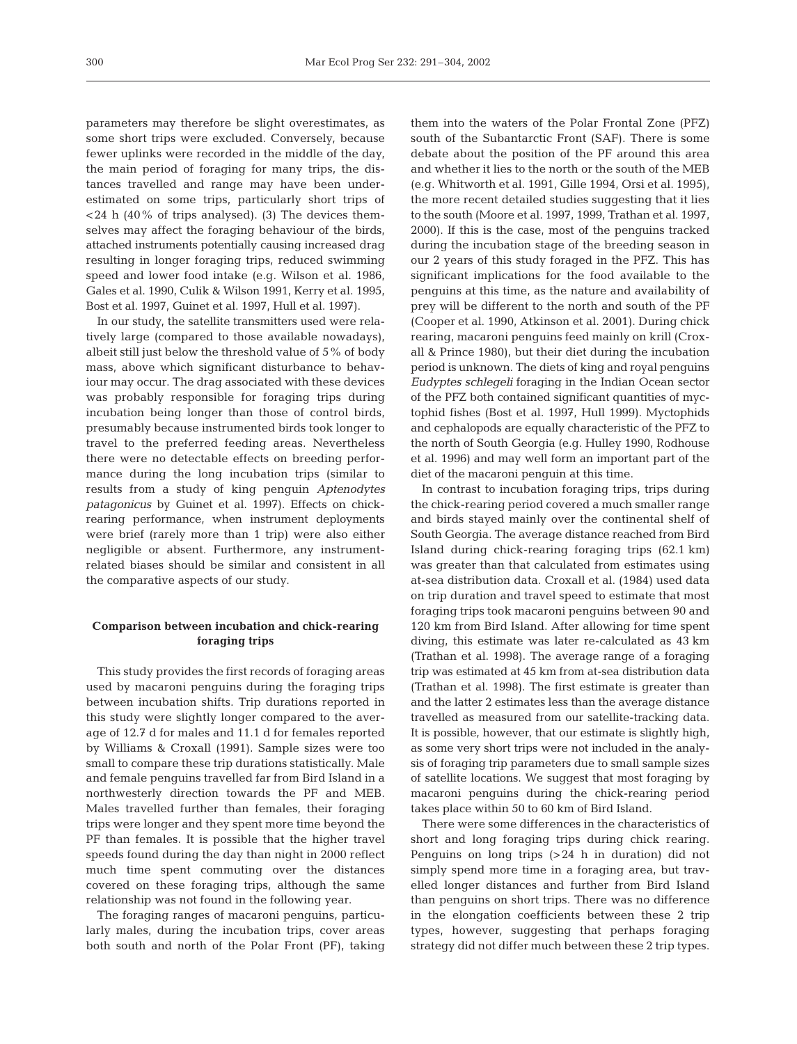parameters may therefore be slight overestimates, as some short trips were excluded. Conversely, because fewer uplinks were recorded in the middle of the day, the main period of foraging for many trips, the distances travelled and range may have been underestimated on some trips, particularly short trips of  $\langle 24 \rangle$  h (40% of trips analysed). (3) The devices themselves may affect the foraging behaviour of the birds, attached instruments potentially causing increased drag resulting in longer foraging trips, reduced swimming speed and lower food intake (e.g. Wilson et al. 1986, Gales et al. 1990, Culik & Wilson 1991, Kerry et al. 1995, Bost et al. 1997, Guinet et al. 1997, Hull et al. 1997).

In our study, the satellite transmitters used were relatively large (compared to those available nowadays), albeit still just below the threshold value of 5% of body mass, above which significant disturbance to behaviour may occur. The drag associated with these devices was probably responsible for foraging trips during incubation being longer than those of control birds, presumably because instrumented birds took longer to travel to the preferred feeding areas. Nevertheless there were no detectable effects on breeding performance during the long incubation trips (similar to results from a study of king penguin *Aptenodytes patagonicus* by Guinet et al. 1997). Effects on chickrearing performance, when instrument deployments were brief (rarely more than 1 trip) were also either negligible or absent. Furthermore, any instrumentrelated biases should be similar and consistent in all the comparative aspects of our study.

# **Comparison between incubation and chick-rearing foraging trips**

This study provides the first records of foraging areas used by macaroni penguins during the foraging trips between incubation shifts. Trip durations reported in this study were slightly longer compared to the average of 12.7 d for males and 11.1 d for females reported by Williams & Croxall (1991). Sample sizes were too small to compare these trip durations statistically. Male and female penguins travelled far from Bird Island in a northwesterly direction towards the PF and MEB. Males travelled further than females, their foraging trips were longer and they spent more time beyond the PF than females. It is possible that the higher travel speeds found during the day than night in 2000 reflect much time spent commuting over the distances covered on these foraging trips, although the same relationship was not found in the following year.

The foraging ranges of macaroni penguins, particularly males, during the incubation trips, cover areas both south and north of the Polar Front (PF), taking them into the waters of the Polar Frontal Zone (PFZ) south of the Subantarctic Front (SAF). There is some debate about the position of the PF around this area and whether it lies to the north or the south of the MEB (e.g. Whitworth et al. 1991, Gille 1994, Orsi et al. 1995), the more recent detailed studies suggesting that it lies to the south (Moore et al. 1997, 1999, Trathan et al. 1997, 2000). If this is the case, most of the penguins tracked during the incubation stage of the breeding season in our 2 years of this study foraged in the PFZ. This has significant implications for the food available to the penguins at this time, as the nature and availability of prey will be different to the north and south of the PF (Cooper et al. 1990, Atkinson et al. 2001). During chick rearing, macaroni penguins feed mainly on krill (Croxall & Prince 1980), but their diet during the incubation period is unknown. The diets of king and royal penguins *Eudyptes schlegeli* foraging in the Indian Ocean sector of the PFZ both contained significant quantities of myctophid fishes (Bost et al. 1997, Hull 1999). Myctophids and cephalopods are equally characteristic of the PFZ to the north of South Georgia (e.g. Hulley 1990, Rodhouse et al. 1996) and may well form an important part of the diet of the macaroni penguin at this time.

In contrast to incubation foraging trips, trips during the chick-rearing period covered a much smaller range and birds stayed mainly over the continental shelf of South Georgia. The average distance reached from Bird Island during chick-rearing foraging trips (62.1 km) was greater than that calculated from estimates using at-sea distribution data. Croxall et al. (1984) used data on trip duration and travel speed to estimate that most foraging trips took macaroni penguins between 90 and 120 km from Bird Island. After allowing for time spent diving, this estimate was later re-calculated as 43 km (Trathan et al. 1998). The average range of a foraging trip was estimated at 45 km from at-sea distribution data (Trathan et al. 1998). The first estimate is greater than and the latter 2 estimates less than the average distance travelled as measured from our satellite-tracking data. It is possible, however, that our estimate is slightly high, as some very short trips were not included in the analysis of foraging trip parameters due to small sample sizes of satellite locations. We suggest that most foraging by macaroni penguins during the chick-rearing period takes place within 50 to 60 km of Bird Island.

There were some differences in the characteristics of short and long foraging trips during chick rearing. Penguins on long trips (>24 h in duration) did not simply spend more time in a foraging area, but travelled longer distances and further from Bird Island than penguins on short trips. There was no difference in the elongation coefficients between these 2 trip types, however, suggesting that perhaps foraging strategy did not differ much between these 2 trip types.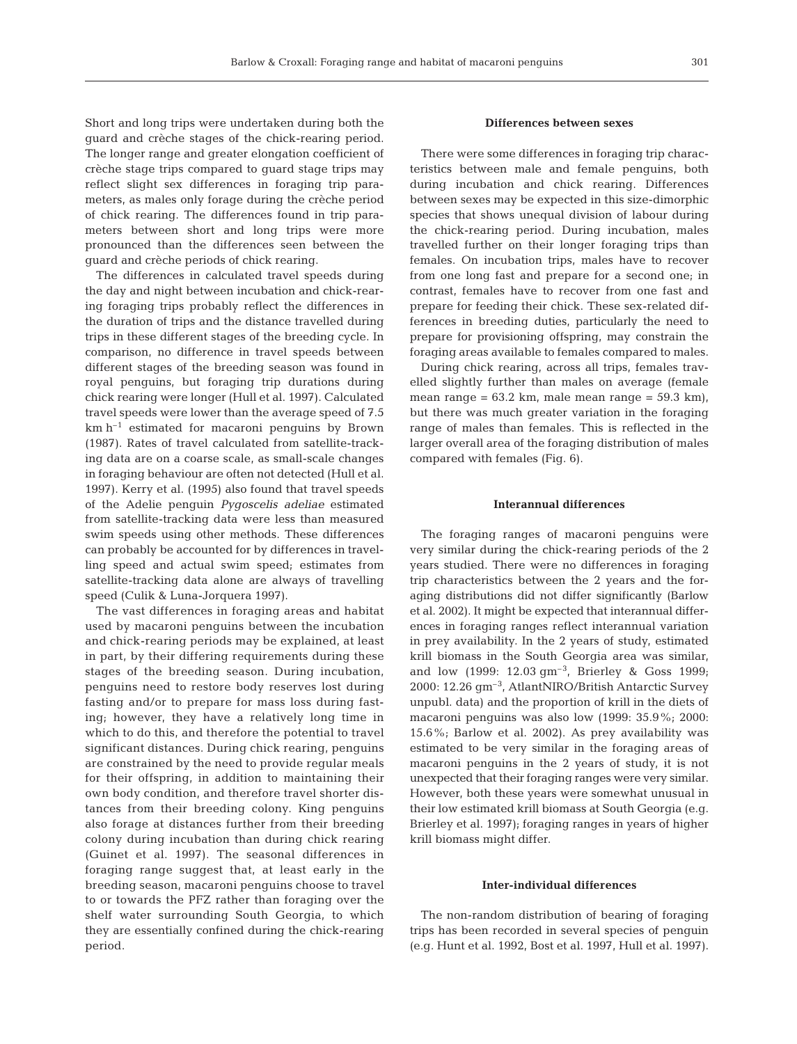Short and long trips were undertaken during both the guard and crèche stages of the chick-rearing period. The longer range and greater elongation coefficient of crèche stage trips compared to guard stage trips may reflect slight sex differences in foraging trip parameters, as males only forage during the crèche period of chick rearing. The differences found in trip parameters between short and long trips were more pronounced than the differences seen between the guard and crèche periods of chick rearing.

The differences in calculated travel speeds during the day and night between incubation and chick-rearing foraging trips probably reflect the differences in the duration of trips and the distance travelled during trips in these different stages of the breeding cycle. In comparison, no difference in travel speeds between different stages of the breeding season was found in royal penguins, but foraging trip durations during chick rearing were longer (Hull et al. 1997). Calculated travel speeds were lower than the average speed of 7.5  $km h^{-1}$  estimated for macaroni penguins by Brown (1987). Rates of travel calculated from satellite-tracking data are on a coarse scale, as small-scale changes in foraging behaviour are often not detected (Hull et al. 1997). Kerry et al. (1995) also found that travel speeds of the Adelie penguin *Pygoscelis adeliae* estimated from satellite-tracking data were less than measured swim speeds using other methods. These differences can probably be accounted for by differences in travelling speed and actual swim speed; estimates from satellite-tracking data alone are always of travelling speed (Culik & Luna-Jorquera 1997).

The vast differences in foraging areas and habitat used by macaroni penguins between the incubation and chick-rearing periods may be explained, at least in part, by their differing requirements during these stages of the breeding season. During incubation, penguins need to restore body reserves lost during fasting and/or to prepare for mass loss during fasting; however, they have a relatively long time in which to do this, and therefore the potential to travel significant distances. During chick rearing, penguins are constrained by the need to provide regular meals for their offspring, in addition to maintaining their own body condition, and therefore travel shorter distances from their breeding colony. King penguins also forage at distances further from their breeding colony during incubation than during chick rearing (Guinet et al. 1997). The seasonal differences in foraging range suggest that, at least early in the breeding season, macaroni penguins choose to travel to or towards the PFZ rather than foraging over the shelf water surrounding South Georgia, to which they are essentially confined during the chick-rearing period.

## **Differences between sexes**

There were some differences in foraging trip characteristics between male and female penguins, both during incubation and chick rearing. Differences between sexes may be expected in this size-dimorphic species that shows unequal division of labour during the chick-rearing period. During incubation, males travelled further on their longer foraging trips than females. On incubation trips, males have to recover from one long fast and prepare for a second one; in contrast, females have to recover from one fast and prepare for feeding their chick. These sex-related differences in breeding duties, particularly the need to prepare for provisioning offspring, may constrain the foraging areas available to females compared to males.

During chick rearing, across all trips, females travelled slightly further than males on average (female mean range =  $63.2 \text{ km}$ , male mean range =  $59.3 \text{ km}$ ), but there was much greater variation in the foraging range of males than females. This is reflected in the larger overall area of the foraging distribution of males compared with females (Fig. 6).

## **Interannual differences**

The foraging ranges of macaroni penguins were very similar during the chick-rearing periods of the 2 years studied. There were no differences in foraging trip characteristics between the 2 years and the foraging distributions did not differ significantly (Barlow et al. 2002). It might be expected that interannual differences in foraging ranges reflect interannual variation in prey availability. In the 2 years of study, estimated krill biomass in the South Georgia area was similar, and low (1999: 12.03 gm–3, Brierley & Goss 1999; 2000: 12.26 gm–3, AtlantNIRO/British Antarctic Survey unpubl. data) and the proportion of krill in the diets of macaroni penguins was also low (1999: 35.9%; 2000: 15.6%; Barlow et al. 2002). As prey availability was estimated to be very similar in the foraging areas of macaroni penguins in the 2 years of study, it is not unexpected that their foraging ranges were very similar. However, both these years were somewhat unusual in their low estimated krill biomass at South Georgia (e.g. Brierley et al. 1997); foraging ranges in years of higher krill biomass might differ.

## **Inter-individual differences**

The non-random distribution of bearing of foraging trips has been recorded in several species of penguin (e.g. Hunt et al. 1992, Bost et al. 1997, Hull et al. 1997).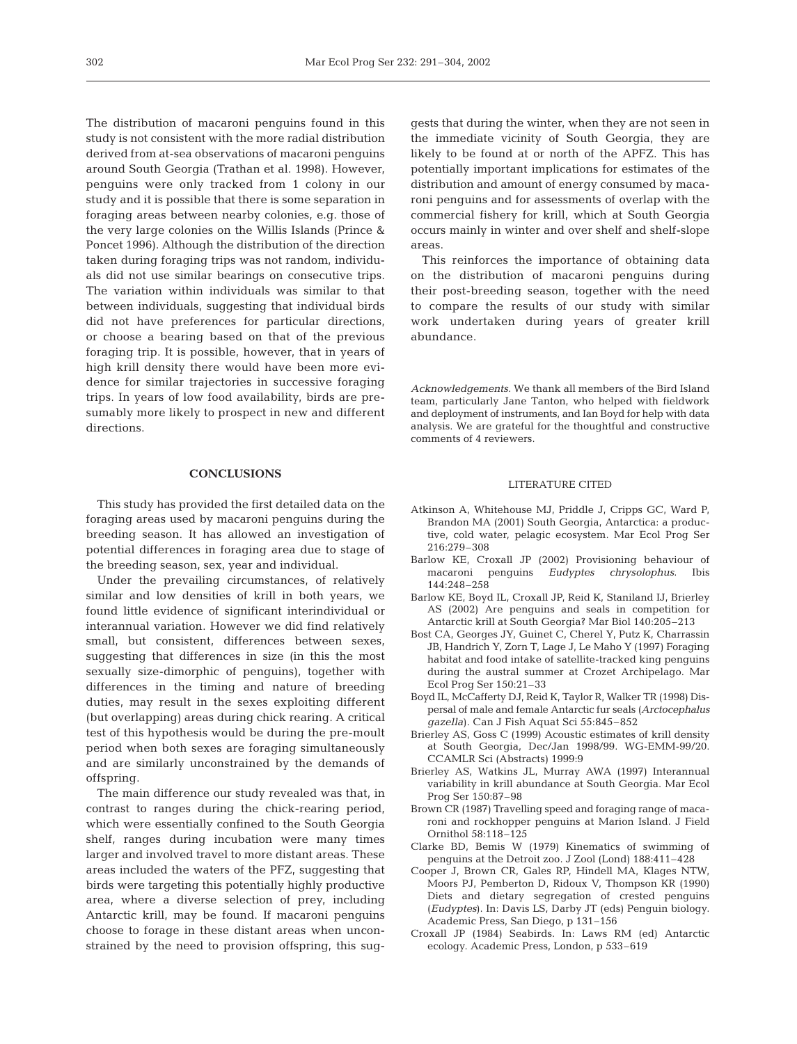The distribution of macaroni penguins found in this study is not consistent with the more radial distribution derived from at-sea observations of macaroni penguins around South Georgia (Trathan et al. 1998). However, penguins were only tracked from 1 colony in our study and it is possible that there is some separation in foraging areas between nearby colonies, e.g. those of the very large colonies on the Willis Islands (Prince & Poncet 1996). Although the distribution of the direction taken during foraging trips was not random, individuals did not use similar bearings on consecutive trips. The variation within individuals was similar to that between individuals, suggesting that individual birds did not have preferences for particular directions, or choose a bearing based on that of the previous foraging trip. It is possible, however, that in years of high krill density there would have been more evidence for similar trajectories in successive foraging trips. In years of low food availability, birds are presumably more likely to prospect in new and different directions.

# **CONCLUSIONS**

This study has provided the first detailed data on the foraging areas used by macaroni penguins during the breeding season. It has allowed an investigation of potential differences in foraging area due to stage of the breeding season, sex, year and individual.

Under the prevailing circumstances, of relatively similar and low densities of krill in both years, we found little evidence of significant interindividual or interannual variation. However we did find relatively small, but consistent, differences between sexes, suggesting that differences in size (in this the most sexually size-dimorphic of penguins), together with differences in the timing and nature of breeding duties, may result in the sexes exploiting different (but overlapping) areas during chick rearing. A critical test of this hypothesis would be during the pre-moult period when both sexes are foraging simultaneously and are similarly unconstrained by the demands of offspring.

The main difference our study revealed was that, in contrast to ranges during the chick-rearing period, which were essentially confined to the South Georgia shelf, ranges during incubation were many times larger and involved travel to more distant areas. These areas included the waters of the PFZ, suggesting that birds were targeting this potentially highly productive area, where a diverse selection of prey, including Antarctic krill, may be found. If macaroni penguins choose to forage in these distant areas when unconstrained by the need to provision offspring, this suggests that during the winter, when they are not seen in the immediate vicinity of South Georgia, they are likely to be found at or north of the APFZ. This has potentially important implications for estimates of the distribution and amount of energy consumed by macaroni penguins and for assessments of overlap with the commercial fishery for krill, which at South Georgia occurs mainly in winter and over shelf and shelf-slope areas.

This reinforces the importance of obtaining data on the distribution of macaroni penguins during their post-breeding season, together with the need to compare the results of our study with similar work undertaken during years of greater krill abundance.

*Acknowledgements.* We thank all members of the Bird Island team, particularly Jane Tanton, who helped with fieldwork and deployment of instruments, and Ian Boyd for help with data analysis. We are grateful for the thoughtful and constructive comments of 4 reviewers.

## LITERATURE CITED

- Atkinson A, Whitehouse MJ, Priddle J, Cripps GC, Ward P, Brandon MA (2001) South Georgia, Antarctica: a productive, cold water, pelagic ecosystem. Mar Ecol Prog Ser 216:279–308
- Barlow KE, Croxall JP (2002) Provisioning behaviour of macaroni penguins *Eudyptes chrysolophus*. Ibis 144:248–258
- Barlow KE, Boyd IL, Croxall JP, Reid K, Staniland IJ, Brierley AS (2002) Are penguins and seals in competition for Antarctic krill at South Georgia? Mar Biol 140:205–213
- Bost CA, Georges JY, Guinet C, Cherel Y, Putz K, Charrassin JB, Handrich Y, Zorn T, Lage J, Le Maho Y (1997) Foraging habitat and food intake of satellite-tracked king penguins during the austral summer at Crozet Archipelago. Mar Ecol Prog Ser 150:21–33
- Boyd IL, McCafferty DJ, Reid K, Taylor R, Walker TR (1998) Dispersal of male and female Antarctic fur seals (*Arctocephalus gazella*). Can J Fish Aquat Sci 55:845–852
- Brierley AS, Goss C (1999) Acoustic estimates of krill density at South Georgia, Dec/Jan 1998/99. WG-EMM-99/20. CCAMLR Sci (Abstracts) 1999:9
- Brierley AS, Watkins JL, Murray AWA (1997) Interannual variability in krill abundance at South Georgia. Mar Ecol Prog Ser 150:87–98
- Brown CR (1987) Travelling speed and foraging range of macaroni and rockhopper penguins at Marion Island. J Field Ornithol 58:118–125
- Clarke BD, Bemis W (1979) Kinematics of swimming of penguins at the Detroit zoo. J Zool (Lond) 188:411–428
- Cooper J, Brown CR, Gales RP, Hindell MA, Klages NTW, Moors PJ, Pemberton D, Ridoux V, Thompson KR (1990) Diets and dietary segregation of crested penguins (*Eudyptes*). In: Davis LS, Darby JT (eds) Penguin biology. Academic Press, San Diego, p 131–156
- Croxall JP (1984) Seabirds. In: Laws RM (ed) Antarctic ecology. Academic Press, London, p 533–619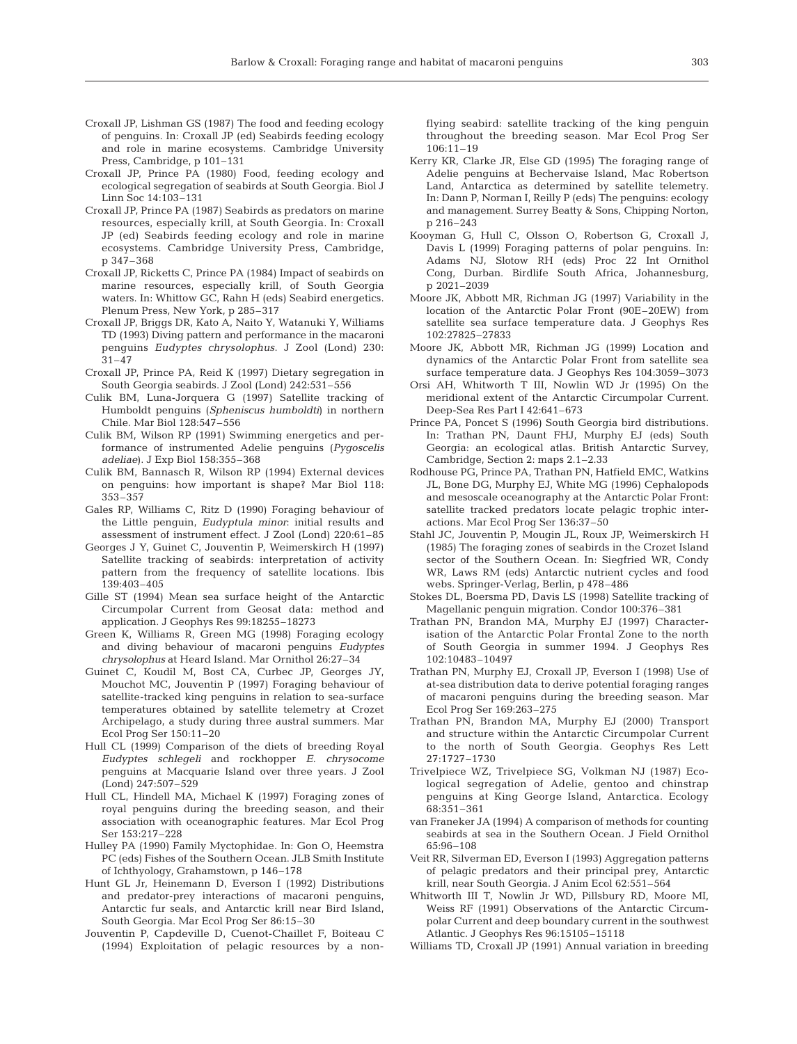- Croxall JP, Lishman GS (1987) The food and feeding ecology of penguins. In: Croxall JP (ed) Seabirds feeding ecology and role in marine ecosystems. Cambridge University Press, Cambridge, p 101–131
- Croxall JP, Prince PA (1980) Food, feeding ecology and ecological segregation of seabirds at South Georgia. Biol J Linn Soc 14:103–131
- Croxall JP, Prince PA (1987) Seabirds as predators on marine resources, especially krill, at South Georgia. In: Croxall JP (ed) Seabirds feeding ecology and role in marine ecosystems. Cambridge University Press, Cambridge, p 347–368
- Croxall JP, Ricketts C, Prince PA (1984) Impact of seabirds on marine resources, especially krill, of South Georgia waters. In: Whittow GC, Rahn H (eds) Seabird energetics. Plenum Press, New York, p 285–317
- Croxall JP, Briggs DR, Kato A, Naito Y, Watanuki Y, Williams TD (1993) Diving pattern and performance in the macaroni penguins *Eudyptes chrysolophus*. J Zool (Lond) 230: 31–47
- Croxall JP, Prince PA, Reid K (1997) Dietary segregation in South Georgia seabirds. J Zool (Lond) 242:531–556
- Culik BM, Luna-Jorquera G (1997) Satellite tracking of Humboldt penguins (*Spheniscus humboldti*) in northern Chile. Mar Biol 128:547–556
- Culik BM, Wilson RP (1991) Swimming energetics and performance of instrumented Adelie penguins (*Pygoscelis adeliae*). J Exp Biol 158:355–368
- Culik BM, Bannasch R, Wilson RP (1994) External devices on penguins: how important is shape? Mar Biol 118: 353–357
- Gales RP, Williams C, Ritz D (1990) Foraging behaviour of the Little penguin, *Eudyptula minor*: initial results and assessment of instrument effect. J Zool (Lond) 220:61–85
- Georges J Y, Guinet C, Jouventin P, Weimerskirch H (1997) Satellite tracking of seabirds: interpretation of activity pattern from the frequency of satellite locations. Ibis 139:403–405
- Gille ST (1994) Mean sea surface height of the Antarctic Circumpolar Current from Geosat data: method and application. J Geophys Res 99:18255–18273
- Green K, Williams R, Green MG (1998) Foraging ecology and diving behaviour of macaroni penguins *Eudyptes chrysolophus* at Heard Island. Mar Ornithol 26:27–34
- Guinet C, Koudil M, Bost CA, Curbec JP, Georges JY, Mouchot MC, Jouventin P (1997) Foraging behaviour of satellite-tracked king penguins in relation to sea-surface temperatures obtained by satellite telemetry at Crozet Archipelago, a study during three austral summers. Mar Ecol Prog Ser 150:11–20
- Hull CL (1999) Comparison of the diets of breeding Royal *Eudyptes schlegeli* and rockhopper *E. chrysocome* penguins at Macquarie Island over three years. J Zool (Lond) 247:507–529
- Hull CL, Hindell MA, Michael K (1997) Foraging zones of royal penguins during the breeding season, and their association with oceanographic features. Mar Ecol Prog Ser 153:217–228
- Hulley PA (1990) Family Myctophidae. In: Gon O, Heemstra PC (eds) Fishes of the Southern Ocean. JLB Smith Institute of Ichthyology, Grahamstown, p 146–178
- Hunt GL Jr, Heinemann D, Everson I (1992) Distributions and predator-prey interactions of macaroni penguins, Antarctic fur seals, and Antarctic krill near Bird Island, South Georgia. Mar Ecol Prog Ser 86:15–30
- Jouventin P, Capdeville D, Cuenot-Chaillet F, Boiteau C (1994) Exploitation of pelagic resources by a non-

flying seabird: satellite tracking of the king penguin throughout the breeding season. Mar Ecol Prog Ser 106:11–19

- Kerry KR, Clarke JR, Else GD (1995) The foraging range of Adelie penguins at Bechervaise Island, Mac Robertson Land, Antarctica as determined by satellite telemetry. In: Dann P, Norman I, Reilly P (eds) The penguins: ecology and management. Surrey Beatty & Sons, Chipping Norton, p 216–243
- Kooyman G, Hull C, Olsson O, Robertson G, Croxall J, Davis L (1999) Foraging patterns of polar penguins. In: Adams NJ, Slotow RH (eds) Proc 22 Int Ornithol Cong, Durban. Birdlife South Africa, Johannesburg, p 2021–2039
- Moore JK, Abbott MR, Richman JG (1997) Variability in the location of the Antarctic Polar Front (90E–20EW) from satellite sea surface temperature data. J Geophys Res 102:27825–27833
- Moore JK, Abbott MR, Richman JG (1999) Location and dynamics of the Antarctic Polar Front from satellite sea surface temperature data. J Geophys Res 104:3059–3073
- Orsi AH, Whitworth T III, Nowlin WD Jr (1995) On the meridional extent of the Antarctic Circumpolar Current. Deep-Sea Res Part I 42:641–673
- Prince PA, Poncet S (1996) South Georgia bird distributions. In: Trathan PN, Daunt FHJ, Murphy EJ (eds) South Georgia: an ecological atlas. British Antarctic Survey, Cambridge, Section 2: maps 2.1–2.33
- Rodhouse PG, Prince PA, Trathan PN, Hatfield EMC, Watkins JL, Bone DG, Murphy EJ, White MG (1996) Cephalopods and mesoscale oceanography at the Antarctic Polar Front: satellite tracked predators locate pelagic trophic interactions. Mar Ecol Prog Ser 136:37–50
- Stahl JC, Jouventin P, Mougin JL, Roux JP, Weimerskirch H (1985) The foraging zones of seabirds in the Crozet Island sector of the Southern Ocean. In: Siegfried WR, Condy WR, Laws RM (eds) Antarctic nutrient cycles and food webs. Springer-Verlag, Berlin, p 478–486
- Stokes DL, Boersma PD, Davis LS (1998) Satellite tracking of Magellanic penguin migration. Condor 100:376–381
- Trathan PN, Brandon MA, Murphy EJ (1997) Characterisation of the Antarctic Polar Frontal Zone to the north of South Georgia in summer 1994. J Geophys Res 102:10483–10497
- Trathan PN, Murphy EJ, Croxall JP, Everson I (1998) Use of at-sea distribution data to derive potential foraging ranges of macaroni penguins during the breeding season. Mar Ecol Prog Ser 169:263–275
- Trathan PN, Brandon MA, Murphy EJ (2000) Transport and structure within the Antarctic Circumpolar Current to the north of South Georgia. Geophys Res Lett 27:1727–1730
- Trivelpiece WZ, Trivelpiece SG, Volkman NJ (1987) Ecological segregation of Adelie, gentoo and chinstrap penguins at King George Island, Antarctica. Ecology 68:351–361
- van Franeker JA (1994) A comparison of methods for counting seabirds at sea in the Southern Ocean. J Field Ornithol 65:96–108
- Veit RR, Silverman ED, Everson I (1993) Aggregation patterns of pelagic predators and their principal prey, Antarctic krill, near South Georgia. J Anim Ecol 62:551–564
- Whitworth III T, Nowlin Jr WD, Pillsbury RD, Moore MI, Weiss RF (1991) Observations of the Antarctic Circumpolar Current and deep boundary current in the southwest Atlantic. J Geophys Res 96:15105–15118
- Williams TD, Croxall JP (1991) Annual variation in breeding